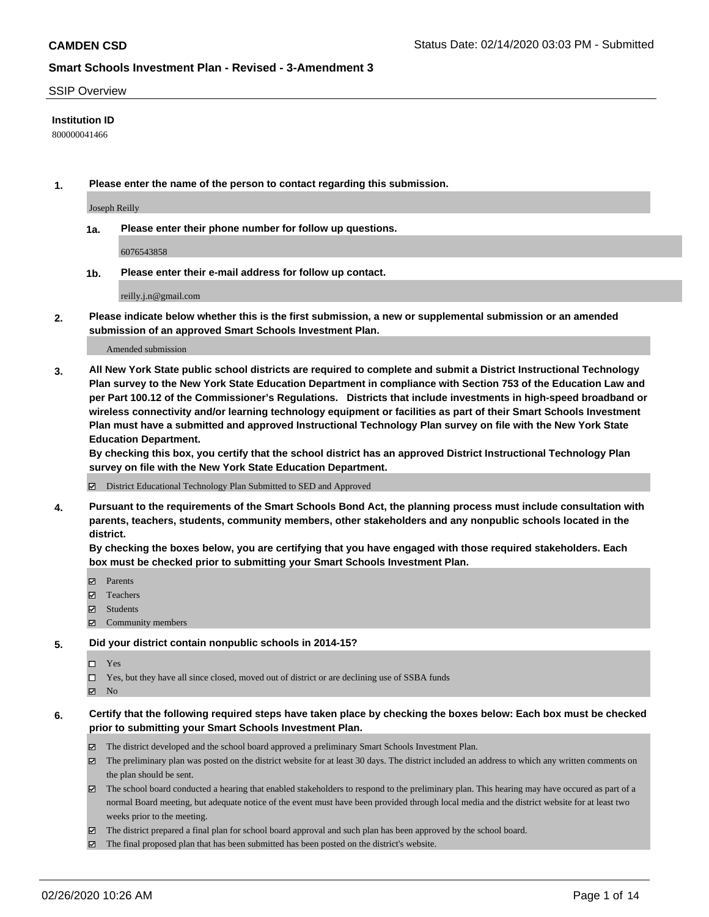#### SSIP Overview

### **Institution ID**

800000041466

**1. Please enter the name of the person to contact regarding this submission.**

Joseph Reilly

**1a. Please enter their phone number for follow up questions.**

6076543858

**1b. Please enter their e-mail address for follow up contact.**

reilly.j.n@gmail.com

**2. Please indicate below whether this is the first submission, a new or supplemental submission or an amended submission of an approved Smart Schools Investment Plan.**

#### Amended submission

**3. All New York State public school districts are required to complete and submit a District Instructional Technology Plan survey to the New York State Education Department in compliance with Section 753 of the Education Law and per Part 100.12 of the Commissioner's Regulations. Districts that include investments in high-speed broadband or wireless connectivity and/or learning technology equipment or facilities as part of their Smart Schools Investment Plan must have a submitted and approved Instructional Technology Plan survey on file with the New York State Education Department.** 

**By checking this box, you certify that the school district has an approved District Instructional Technology Plan survey on file with the New York State Education Department.**

District Educational Technology Plan Submitted to SED and Approved

**4. Pursuant to the requirements of the Smart Schools Bond Act, the planning process must include consultation with parents, teachers, students, community members, other stakeholders and any nonpublic schools located in the district.** 

**By checking the boxes below, you are certifying that you have engaged with those required stakeholders. Each box must be checked prior to submitting your Smart Schools Investment Plan.**

- **マ** Parents
- Teachers
- Students
- Community members

#### **5. Did your district contain nonpublic schools in 2014-15?**

 $\neg$  Yes

Yes, but they have all since closed, moved out of district or are declining use of SSBA funds

**Z** No

### **6. Certify that the following required steps have taken place by checking the boxes below: Each box must be checked prior to submitting your Smart Schools Investment Plan.**

- The district developed and the school board approved a preliminary Smart Schools Investment Plan.
- $\boxtimes$  The preliminary plan was posted on the district website for at least 30 days. The district included an address to which any written comments on the plan should be sent.
- $\boxtimes$  The school board conducted a hearing that enabled stakeholders to respond to the preliminary plan. This hearing may have occured as part of a normal Board meeting, but adequate notice of the event must have been provided through local media and the district website for at least two weeks prior to the meeting.
- The district prepared a final plan for school board approval and such plan has been approved by the school board.
- $\boxtimes$  The final proposed plan that has been submitted has been posted on the district's website.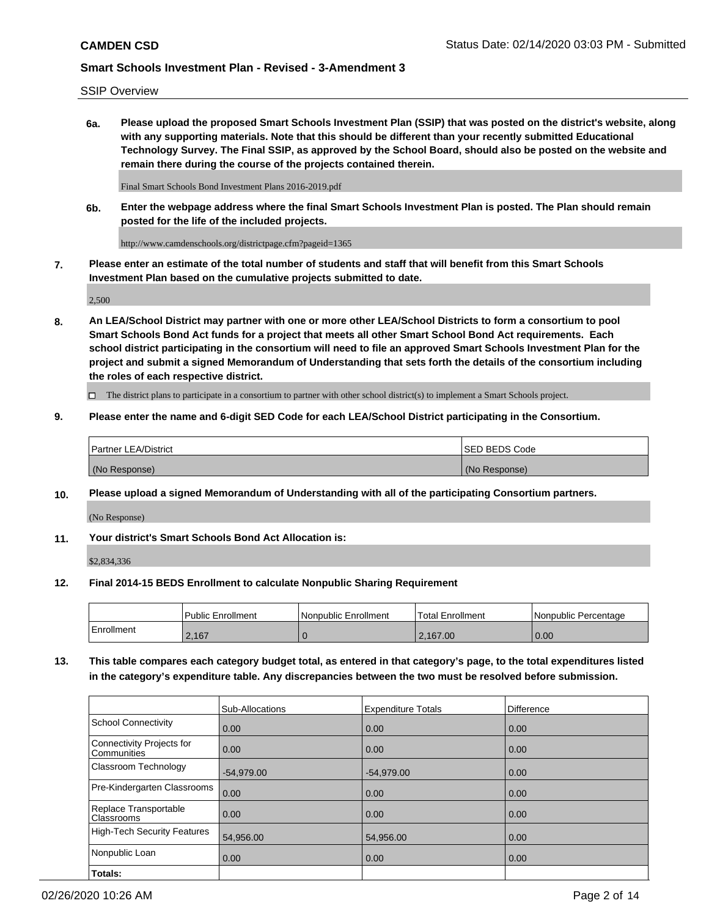SSIP Overview

**6a. Please upload the proposed Smart Schools Investment Plan (SSIP) that was posted on the district's website, along with any supporting materials. Note that this should be different than your recently submitted Educational Technology Survey. The Final SSIP, as approved by the School Board, should also be posted on the website and remain there during the course of the projects contained therein.**

Final Smart Schools Bond Investment Plans 2016-2019.pdf

**6b. Enter the webpage address where the final Smart Schools Investment Plan is posted. The Plan should remain posted for the life of the included projects.**

http://www.camdenschools.org/districtpage.cfm?pageid=1365

**7. Please enter an estimate of the total number of students and staff that will benefit from this Smart Schools Investment Plan based on the cumulative projects submitted to date.**

2,500

**8. An LEA/School District may partner with one or more other LEA/School Districts to form a consortium to pool Smart Schools Bond Act funds for a project that meets all other Smart School Bond Act requirements. Each school district participating in the consortium will need to file an approved Smart Schools Investment Plan for the project and submit a signed Memorandum of Understanding that sets forth the details of the consortium including the roles of each respective district.**

 $\Box$  The district plans to participate in a consortium to partner with other school district(s) to implement a Smart Schools project.

### **9. Please enter the name and 6-digit SED Code for each LEA/School District participating in the Consortium.**

| Partner LEA/District | <b>ISED BEDS Code</b> |
|----------------------|-----------------------|
| (No Response)        | (No Response)         |

## **10. Please upload a signed Memorandum of Understanding with all of the participating Consortium partners.**

(No Response)

#### **11. Your district's Smart Schools Bond Act Allocation is:**

\$2,834,336

#### **12. Final 2014-15 BEDS Enrollment to calculate Nonpublic Sharing Requirement**

|            | Public Enrollment | Nonpublic Enrollment | Total Enrollment | l Nonpublic Percentage |
|------------|-------------------|----------------------|------------------|------------------------|
| Enrollment | 2,167             |                      | .167.00          | 0.00                   |

**13. This table compares each category budget total, as entered in that category's page, to the total expenditures listed in the category's expenditure table. Any discrepancies between the two must be resolved before submission.**

|                                          | Sub-Allocations | <b>Expenditure Totals</b> | Difference |
|------------------------------------------|-----------------|---------------------------|------------|
| <b>School Connectivity</b>               | 0.00            | 0.00                      | 0.00       |
| Connectivity Projects for<br>Communities | 0.00            | 0.00                      | 0.00       |
| Classroom Technology                     | $-54,979.00$    | $-54,979.00$              | 0.00       |
| Pre-Kindergarten Classrooms              | 0.00            | 0.00                      | 0.00       |
| Replace Transportable<br>Classrooms      | 0.00            | 0.00                      | 0.00       |
| <b>High-Tech Security Features</b>       | 54,956.00       | 54,956.00                 | 0.00       |
| Nonpublic Loan                           | 0.00            | 0.00                      | 0.00       |
| Totals:                                  |                 |                           |            |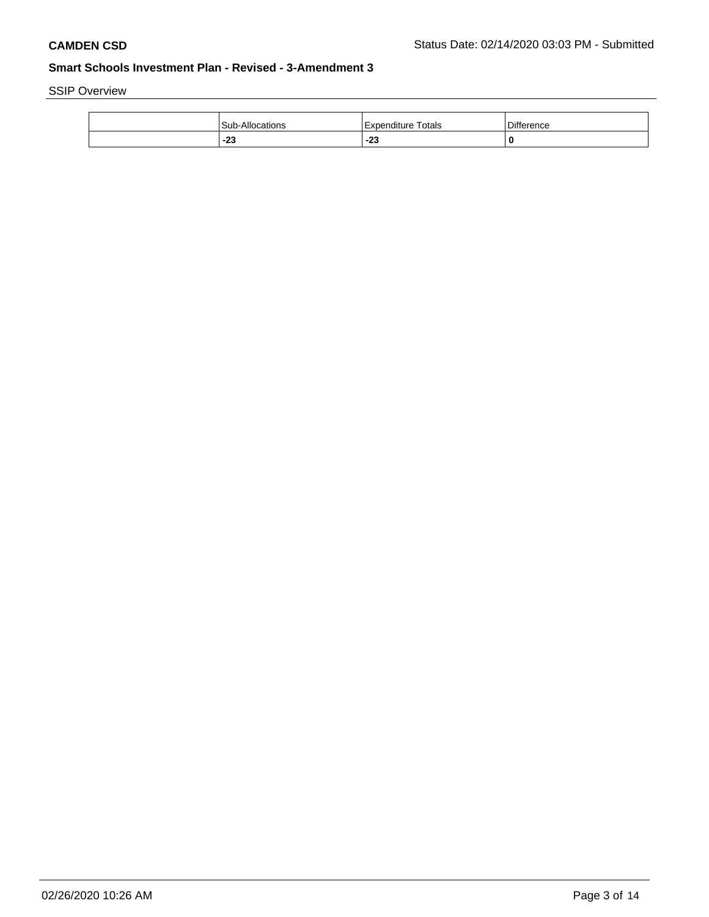SSIP Overview

| Allocations<br>Sub<br>. <i>.</i> | Totals<br>Expenditure | r<br>Difference |
|----------------------------------|-----------------------|-----------------|
| $\sim$<br>-20                    | n <sub>n</sub><br>-23 | 0               |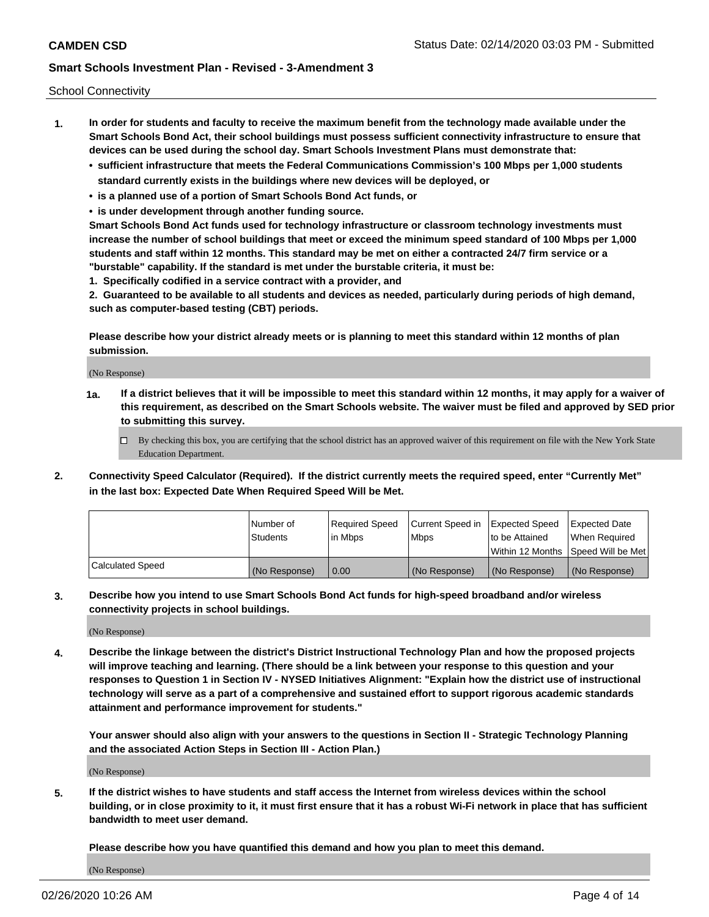School Connectivity

- **1. In order for students and faculty to receive the maximum benefit from the technology made available under the Smart Schools Bond Act, their school buildings must possess sufficient connectivity infrastructure to ensure that devices can be used during the school day. Smart Schools Investment Plans must demonstrate that:**
	- **• sufficient infrastructure that meets the Federal Communications Commission's 100 Mbps per 1,000 students standard currently exists in the buildings where new devices will be deployed, or**
	- **• is a planned use of a portion of Smart Schools Bond Act funds, or**
	- **• is under development through another funding source.**

**Smart Schools Bond Act funds used for technology infrastructure or classroom technology investments must increase the number of school buildings that meet or exceed the minimum speed standard of 100 Mbps per 1,000 students and staff within 12 months. This standard may be met on either a contracted 24/7 firm service or a "burstable" capability. If the standard is met under the burstable criteria, it must be:**

**1. Specifically codified in a service contract with a provider, and**

**2. Guaranteed to be available to all students and devices as needed, particularly during periods of high demand, such as computer-based testing (CBT) periods.**

**Please describe how your district already meets or is planning to meet this standard within 12 months of plan submission.**

(No Response)

**1a. If a district believes that it will be impossible to meet this standard within 12 months, it may apply for a waiver of this requirement, as described on the Smart Schools website. The waiver must be filed and approved by SED prior to submitting this survey.**

 $\Box$  By checking this box, you are certifying that the school district has an approved waiver of this requirement on file with the New York State Education Department.

**2. Connectivity Speed Calculator (Required). If the district currently meets the required speed, enter "Currently Met" in the last box: Expected Date When Required Speed Will be Met.**

|                  | l Number of     | Required Speed | Current Speed in | <b>Expected Speed</b> | <b>Expected Date</b>                |
|------------------|-----------------|----------------|------------------|-----------------------|-------------------------------------|
|                  | <b>Students</b> | l in Mbps      | <b>Mbps</b>      | to be Attained        | When Required                       |
|                  |                 |                |                  |                       | Within 12 Months ISpeed Will be Met |
| Calculated Speed | (No Response)   | 0.00           | (No Response)    | (No Response)         | (No Response)                       |

**3. Describe how you intend to use Smart Schools Bond Act funds for high-speed broadband and/or wireless connectivity projects in school buildings.**

(No Response)

**4. Describe the linkage between the district's District Instructional Technology Plan and how the proposed projects will improve teaching and learning. (There should be a link between your response to this question and your responses to Question 1 in Section IV - NYSED Initiatives Alignment: "Explain how the district use of instructional technology will serve as a part of a comprehensive and sustained effort to support rigorous academic standards attainment and performance improvement for students."** 

**Your answer should also align with your answers to the questions in Section II - Strategic Technology Planning and the associated Action Steps in Section III - Action Plan.)**

(No Response)

**5. If the district wishes to have students and staff access the Internet from wireless devices within the school building, or in close proximity to it, it must first ensure that it has a robust Wi-Fi network in place that has sufficient bandwidth to meet user demand.**

**Please describe how you have quantified this demand and how you plan to meet this demand.**

(No Response)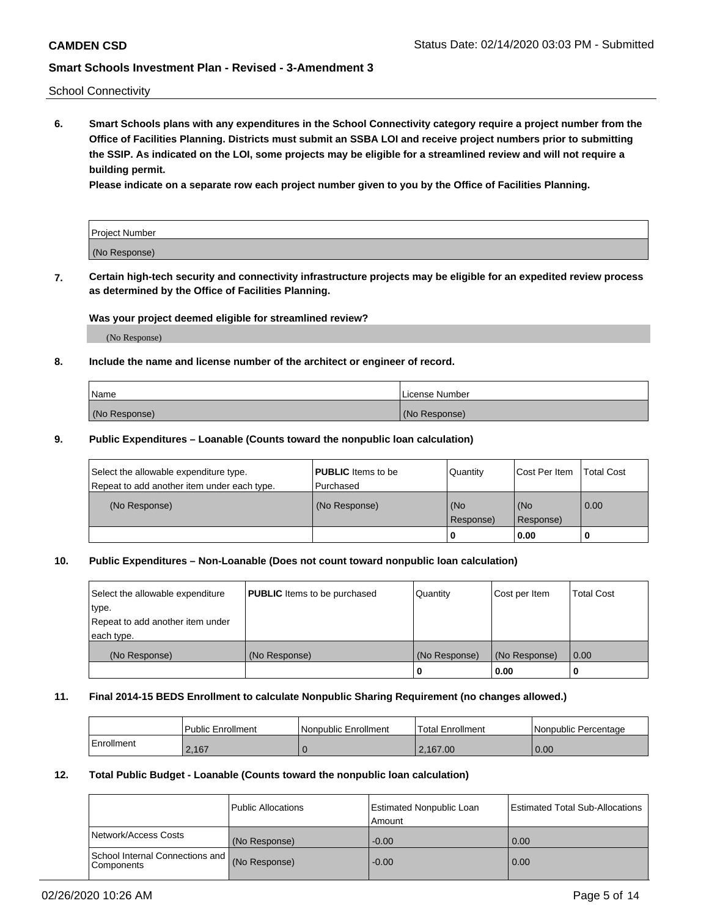School Connectivity

**6. Smart Schools plans with any expenditures in the School Connectivity category require a project number from the Office of Facilities Planning. Districts must submit an SSBA LOI and receive project numbers prior to submitting the SSIP. As indicated on the LOI, some projects may be eligible for a streamlined review and will not require a building permit.**

**Please indicate on a separate row each project number given to you by the Office of Facilities Planning.**

| <b>Project Number</b> |  |
|-----------------------|--|
| (No Response)         |  |

**7. Certain high-tech security and connectivity infrastructure projects may be eligible for an expedited review process as determined by the Office of Facilities Planning.**

## **Was your project deemed eligible for streamlined review?**

(No Response)

## **8. Include the name and license number of the architect or engineer of record.**

| Name          | License Number |
|---------------|----------------|
| (No Response) | (No Response)  |

### **9. Public Expenditures – Loanable (Counts toward the nonpublic loan calculation)**

| Select the allowable expenditure type.<br>Repeat to add another item under each type. | <b>PUBLIC</b> Items to be<br>l Purchased | Quantity         | l Cost Per Item  | <b>Total Cost</b> |
|---------------------------------------------------------------------------------------|------------------------------------------|------------------|------------------|-------------------|
| (No Response)                                                                         | (No Response)                            | (No<br>Response) | (No<br>Response) | 0.00              |
|                                                                                       |                                          | 0                | 0.00             |                   |

## **10. Public Expenditures – Non-Loanable (Does not count toward nonpublic loan calculation)**

| Select the allowable expenditure<br>type.<br>Repeat to add another item under<br>each type. | <b>PUBLIC</b> Items to be purchased | Quantity      | Cost per Item | <b>Total Cost</b> |
|---------------------------------------------------------------------------------------------|-------------------------------------|---------------|---------------|-------------------|
| (No Response)                                                                               | (No Response)                       | (No Response) | (No Response) | 0.00              |
|                                                                                             |                                     |               | 0.00          |                   |

#### **11. Final 2014-15 BEDS Enrollment to calculate Nonpublic Sharing Requirement (no changes allowed.)**

|            | Public Enrollment | l Nonpublic Enrollment | <b>Total Enrollment</b> | Nonpublic Percentage |
|------------|-------------------|------------------------|-------------------------|----------------------|
| Enrollment | 2.167             |                        | 2.167.00                | 0.00                 |

### **12. Total Public Budget - Loanable (Counts toward the nonpublic loan calculation)**

|                                                      | Public Allocations | <b>Estimated Nonpublic Loan</b><br>Amount | Estimated Total Sub-Allocations |
|------------------------------------------------------|--------------------|-------------------------------------------|---------------------------------|
| Network/Access Costs                                 | (No Response)      | $-0.00$                                   | 0.00                            |
| School Internal Connections and<br><b>Components</b> | (No Response)      | $-0.00$                                   | 0.00                            |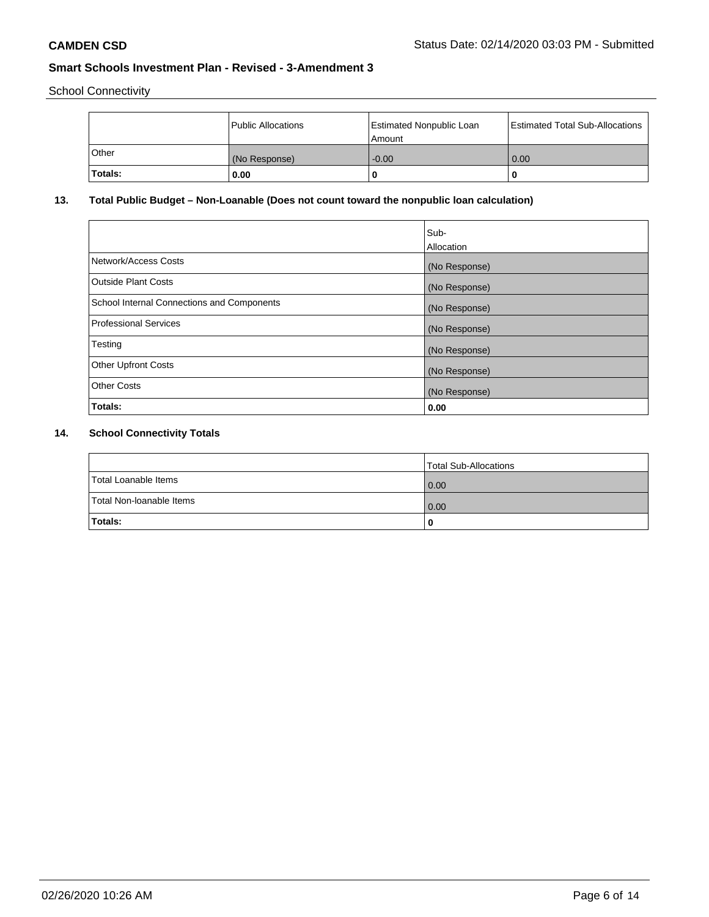School Connectivity

|         | Public Allocations | <b>Estimated Nonpublic Loan</b><br>Amount | <b>Estimated Total Sub-Allocations</b> |
|---------|--------------------|-------------------------------------------|----------------------------------------|
| l Other | (No Response)      | $-0.00$                                   | 0.00                                   |
| Totals: | 0.00               | 0                                         |                                        |

# **13. Total Public Budget – Non-Loanable (Does not count toward the nonpublic loan calculation)**

|                                                   | Sub-<br>Allocation |
|---------------------------------------------------|--------------------|
| Network/Access Costs                              | (No Response)      |
| <b>Outside Plant Costs</b>                        | (No Response)      |
| <b>School Internal Connections and Components</b> | (No Response)      |
| <b>Professional Services</b>                      | (No Response)      |
| Testing                                           | (No Response)      |
| <b>Other Upfront Costs</b>                        | (No Response)      |
| <b>Other Costs</b>                                | (No Response)      |
| Totals:                                           | 0.00               |

# **14. School Connectivity Totals**

|                          | Total Sub-Allocations |
|--------------------------|-----------------------|
| Total Loanable Items     | 0.00                  |
| Total Non-Ioanable Items | 0.00                  |
| Totals:                  | 0                     |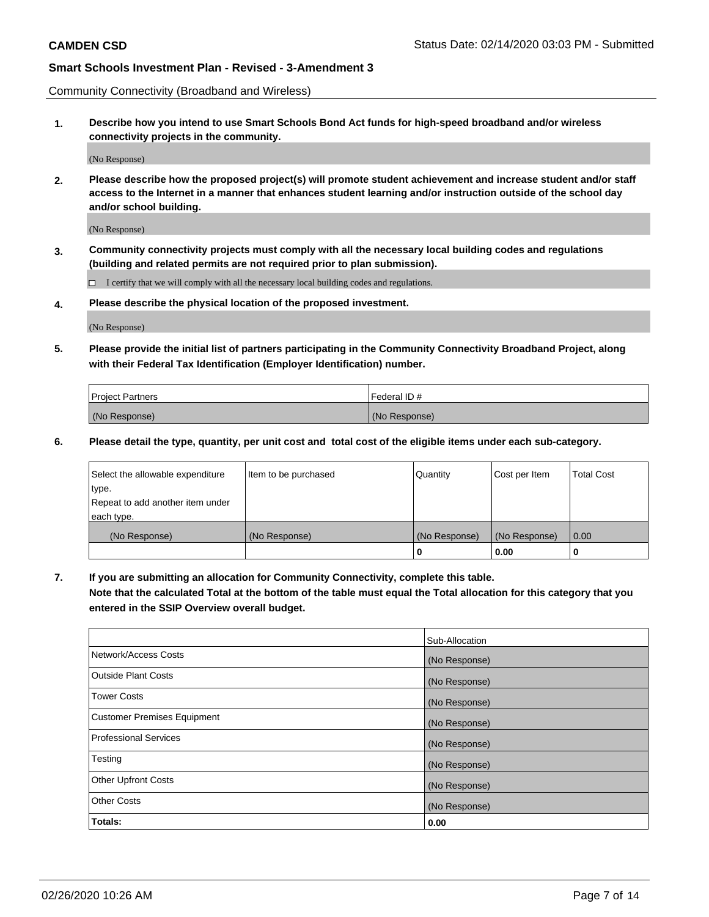Community Connectivity (Broadband and Wireless)

**1. Describe how you intend to use Smart Schools Bond Act funds for high-speed broadband and/or wireless connectivity projects in the community.**

(No Response)

**2. Please describe how the proposed project(s) will promote student achievement and increase student and/or staff access to the Internet in a manner that enhances student learning and/or instruction outside of the school day and/or school building.**

(No Response)

**3. Community connectivity projects must comply with all the necessary local building codes and regulations (building and related permits are not required prior to plan submission).**

 $\Box$  I certify that we will comply with all the necessary local building codes and regulations.

**4. Please describe the physical location of the proposed investment.**

(No Response)

**5. Please provide the initial list of partners participating in the Community Connectivity Broadband Project, along with their Federal Tax Identification (Employer Identification) number.**

| <b>Project Partners</b> | l Federal ID # |
|-------------------------|----------------|
| (No Response)           | (No Response)  |

**6. Please detail the type, quantity, per unit cost and total cost of the eligible items under each sub-category.**

| Select the allowable expenditure | Item to be purchased | Quantity      | Cost per Item | <b>Total Cost</b> |
|----------------------------------|----------------------|---------------|---------------|-------------------|
| type.                            |                      |               |               |                   |
| Repeat to add another item under |                      |               |               |                   |
| each type.                       |                      |               |               |                   |
| (No Response)                    | (No Response)        | (No Response) | (No Response) | 0.00              |
|                                  |                      | o             | 0.00          |                   |

**7. If you are submitting an allocation for Community Connectivity, complete this table.**

**Note that the calculated Total at the bottom of the table must equal the Total allocation for this category that you entered in the SSIP Overview overall budget.**

|                                    | Sub-Allocation |
|------------------------------------|----------------|
| Network/Access Costs               | (No Response)  |
| <b>Outside Plant Costs</b>         | (No Response)  |
| <b>Tower Costs</b>                 | (No Response)  |
| <b>Customer Premises Equipment</b> | (No Response)  |
| <b>Professional Services</b>       | (No Response)  |
| Testing                            | (No Response)  |
| <b>Other Upfront Costs</b>         | (No Response)  |
| <b>Other Costs</b>                 | (No Response)  |
| Totals:                            | 0.00           |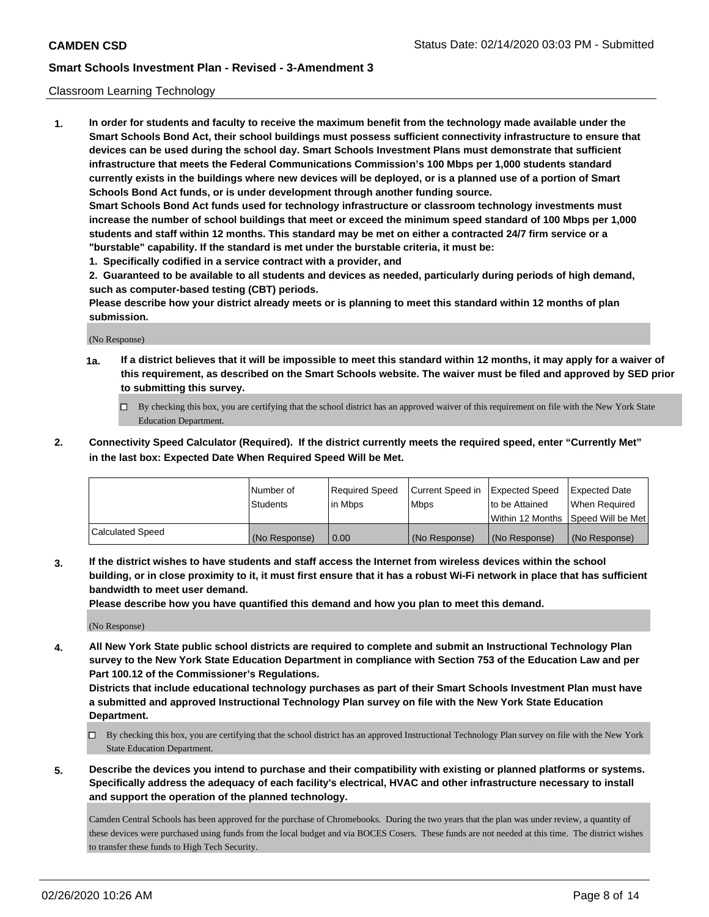## Classroom Learning Technology

**1. In order for students and faculty to receive the maximum benefit from the technology made available under the Smart Schools Bond Act, their school buildings must possess sufficient connectivity infrastructure to ensure that devices can be used during the school day. Smart Schools Investment Plans must demonstrate that sufficient infrastructure that meets the Federal Communications Commission's 100 Mbps per 1,000 students standard currently exists in the buildings where new devices will be deployed, or is a planned use of a portion of Smart Schools Bond Act funds, or is under development through another funding source. Smart Schools Bond Act funds used for technology infrastructure or classroom technology investments must increase the number of school buildings that meet or exceed the minimum speed standard of 100 Mbps per 1,000 students and staff within 12 months. This standard may be met on either a contracted 24/7 firm service or a**

- **"burstable" capability. If the standard is met under the burstable criteria, it must be:**
- **1. Specifically codified in a service contract with a provider, and**

**2. Guaranteed to be available to all students and devices as needed, particularly during periods of high demand, such as computer-based testing (CBT) periods.**

**Please describe how your district already meets or is planning to meet this standard within 12 months of plan submission.**

(No Response)

- **1a. If a district believes that it will be impossible to meet this standard within 12 months, it may apply for a waiver of this requirement, as described on the Smart Schools website. The waiver must be filed and approved by SED prior to submitting this survey.**
	- By checking this box, you are certifying that the school district has an approved waiver of this requirement on file with the New York State Education Department.
- **2. Connectivity Speed Calculator (Required). If the district currently meets the required speed, enter "Currently Met" in the last box: Expected Date When Required Speed Will be Met.**

|                  | l Number of     | Required Speed | Current Speed in | <b>Expected Speed</b> | <b>Expected Date</b>                |
|------------------|-----------------|----------------|------------------|-----------------------|-------------------------------------|
|                  | <b>Students</b> | l in Mbps      | l Mbps           | to be Attained        | When Required                       |
|                  |                 |                |                  |                       | Within 12 Months  Speed Will be Met |
| Calculated Speed | (No Response)   | 0.00           | (No Response)    | l (No Response)       | (No Response)                       |

**3. If the district wishes to have students and staff access the Internet from wireless devices within the school building, or in close proximity to it, it must first ensure that it has a robust Wi-Fi network in place that has sufficient bandwidth to meet user demand.**

**Please describe how you have quantified this demand and how you plan to meet this demand.**

(No Response)

**4. All New York State public school districts are required to complete and submit an Instructional Technology Plan survey to the New York State Education Department in compliance with Section 753 of the Education Law and per Part 100.12 of the Commissioner's Regulations.**

**Districts that include educational technology purchases as part of their Smart Schools Investment Plan must have a submitted and approved Instructional Technology Plan survey on file with the New York State Education Department.**

- By checking this box, you are certifying that the school district has an approved Instructional Technology Plan survey on file with the New York State Education Department.
- **5. Describe the devices you intend to purchase and their compatibility with existing or planned platforms or systems. Specifically address the adequacy of each facility's electrical, HVAC and other infrastructure necessary to install and support the operation of the planned technology.**

Camden Central Schools has been approved for the purchase of Chromebooks. During the two years that the plan was under review, a quantity of these devices were purchased using funds from the local budget and via BOCES Cosers. These funds are not needed at this time. The district wishes to transfer these funds to High Tech Security.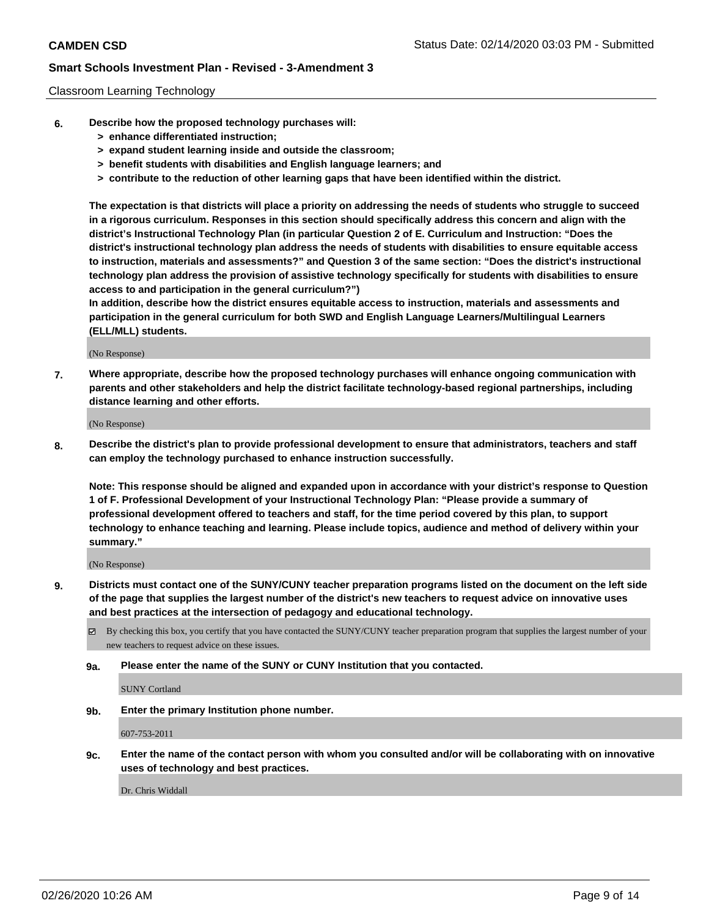### Classroom Learning Technology

- **6. Describe how the proposed technology purchases will:**
	- **> enhance differentiated instruction;**
	- **> expand student learning inside and outside the classroom;**
	- **> benefit students with disabilities and English language learners; and**
	- **> contribute to the reduction of other learning gaps that have been identified within the district.**

**The expectation is that districts will place a priority on addressing the needs of students who struggle to succeed in a rigorous curriculum. Responses in this section should specifically address this concern and align with the district's Instructional Technology Plan (in particular Question 2 of E. Curriculum and Instruction: "Does the district's instructional technology plan address the needs of students with disabilities to ensure equitable access to instruction, materials and assessments?" and Question 3 of the same section: "Does the district's instructional technology plan address the provision of assistive technology specifically for students with disabilities to ensure access to and participation in the general curriculum?")**

**In addition, describe how the district ensures equitable access to instruction, materials and assessments and participation in the general curriculum for both SWD and English Language Learners/Multilingual Learners (ELL/MLL) students.**

(No Response)

**7. Where appropriate, describe how the proposed technology purchases will enhance ongoing communication with parents and other stakeholders and help the district facilitate technology-based regional partnerships, including distance learning and other efforts.**

(No Response)

**8. Describe the district's plan to provide professional development to ensure that administrators, teachers and staff can employ the technology purchased to enhance instruction successfully.**

**Note: This response should be aligned and expanded upon in accordance with your district's response to Question 1 of F. Professional Development of your Instructional Technology Plan: "Please provide a summary of professional development offered to teachers and staff, for the time period covered by this plan, to support technology to enhance teaching and learning. Please include topics, audience and method of delivery within your summary."**

(No Response)

- **9. Districts must contact one of the SUNY/CUNY teacher preparation programs listed on the document on the left side of the page that supplies the largest number of the district's new teachers to request advice on innovative uses and best practices at the intersection of pedagogy and educational technology.**
	- By checking this box, you certify that you have contacted the SUNY/CUNY teacher preparation program that supplies the largest number of your new teachers to request advice on these issues.
	- **9a. Please enter the name of the SUNY or CUNY Institution that you contacted.**

SUNY Cortland

**9b. Enter the primary Institution phone number.**

607-753-2011

**9c. Enter the name of the contact person with whom you consulted and/or will be collaborating with on innovative uses of technology and best practices.**

Dr. Chris Widdall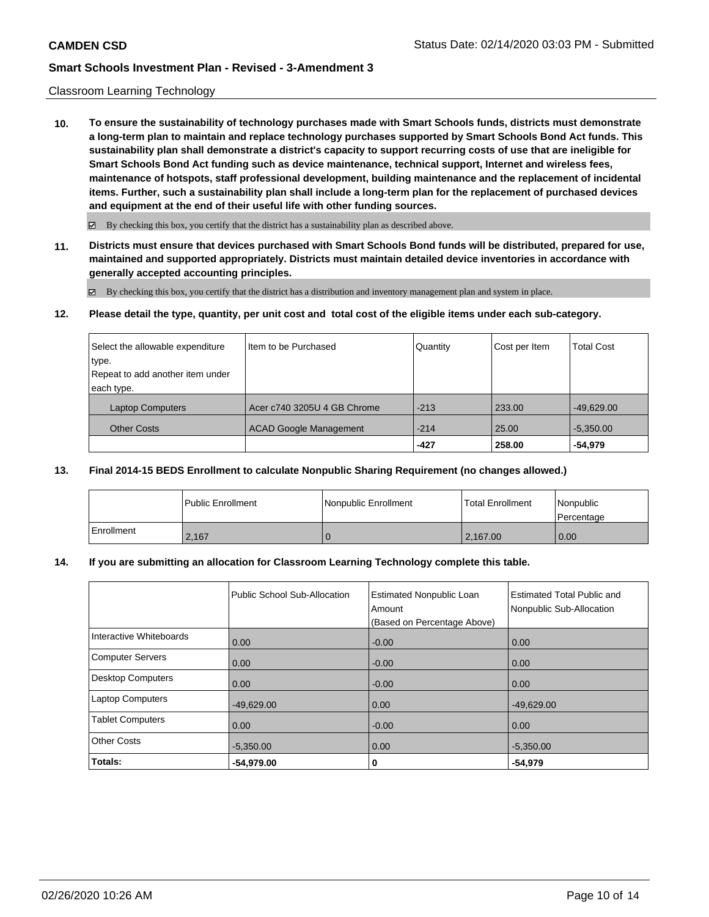### Classroom Learning Technology

**10. To ensure the sustainability of technology purchases made with Smart Schools funds, districts must demonstrate a long-term plan to maintain and replace technology purchases supported by Smart Schools Bond Act funds. This sustainability plan shall demonstrate a district's capacity to support recurring costs of use that are ineligible for Smart Schools Bond Act funding such as device maintenance, technical support, Internet and wireless fees, maintenance of hotspots, staff professional development, building maintenance and the replacement of incidental items. Further, such a sustainability plan shall include a long-term plan for the replacement of purchased devices and equipment at the end of their useful life with other funding sources.**

 $\boxtimes$  By checking this box, you certify that the district has a sustainability plan as described above.

**11. Districts must ensure that devices purchased with Smart Schools Bond funds will be distributed, prepared for use, maintained and supported appropriately. Districts must maintain detailed device inventories in accordance with generally accepted accounting principles.**

By checking this box, you certify that the district has a distribution and inventory management plan and system in place.

**12. Please detail the type, quantity, per unit cost and total cost of the eligible items under each sub-category.**

| Select the allowable expenditure | I Item to be Purchased        | Quantity | Cost per Item | <b>Total Cost</b> |
|----------------------------------|-------------------------------|----------|---------------|-------------------|
| type.                            |                               |          |               |                   |
| Repeat to add another item under |                               |          |               |                   |
| each type.                       |                               |          |               |                   |
| <b>Laptop Computers</b>          | Acer c740 3205U 4 GB Chrome   | $-213$   | 233.00        | $-49,629.00$      |
| <b>Other Costs</b>               | <b>ACAD Google Management</b> | $-214$   | 25.00         | $-5,350.00$       |
|                                  |                               | $-427$   | 258.00        | $-54.979$         |

#### **13. Final 2014-15 BEDS Enrollment to calculate Nonpublic Sharing Requirement (no changes allowed.)**

|              | <b>Public Enrollment</b> | Nonpublic Enrollment | Total Enrollment | l Nonpublic<br>l Percentage |
|--------------|--------------------------|----------------------|------------------|-----------------------------|
| l Enrollment | 2.167                    |                      | 2.167.00         | 0.00                        |

#### **14. If you are submitting an allocation for Classroom Learning Technology complete this table.**

|                          | Public School Sub-Allocation | <b>Estimated Nonpublic Loan</b><br>Amount<br>(Based on Percentage Above) | <b>Estimated Total Public and</b><br>Nonpublic Sub-Allocation |
|--------------------------|------------------------------|--------------------------------------------------------------------------|---------------------------------------------------------------|
| Interactive Whiteboards  | 0.00                         | $-0.00$                                                                  | 0.00                                                          |
| <b>Computer Servers</b>  | 0.00                         | $-0.00$                                                                  | 0.00                                                          |
| <b>Desktop Computers</b> | 0.00                         | $-0.00$                                                                  | 0.00                                                          |
| <b>Laptop Computers</b>  | $-49,629.00$                 | 0.00                                                                     | $-49,629.00$                                                  |
| <b>Tablet Computers</b>  | 0.00                         | $-0.00$                                                                  | 0.00                                                          |
| <b>Other Costs</b>       | $-5,350.00$                  | 0.00                                                                     | $-5,350.00$                                                   |
| Totals:                  | $-54,979.00$                 | 0                                                                        | $-54,979$                                                     |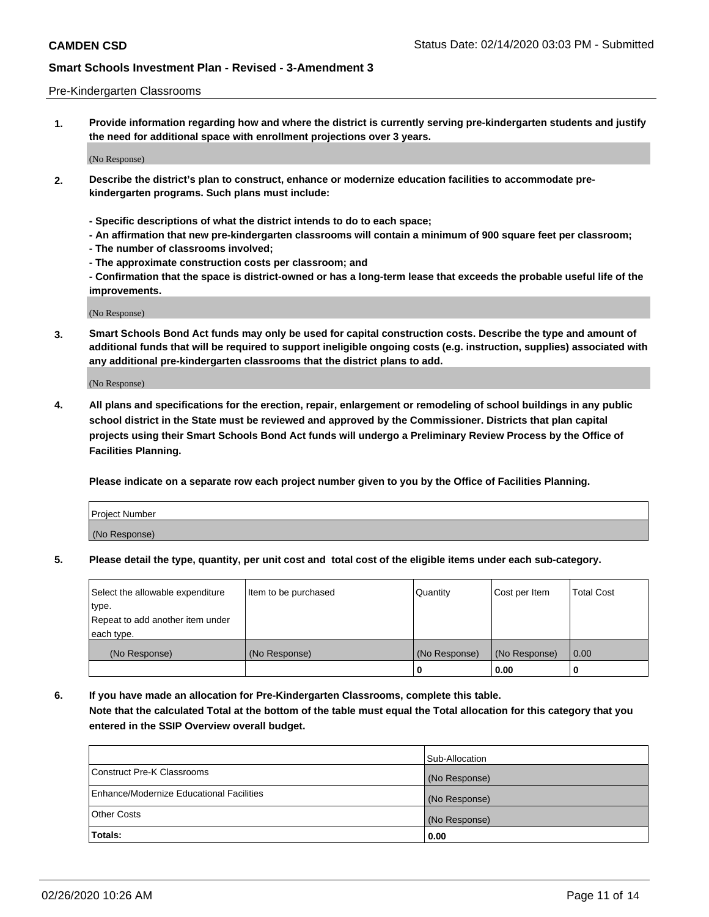#### Pre-Kindergarten Classrooms

**1. Provide information regarding how and where the district is currently serving pre-kindergarten students and justify the need for additional space with enrollment projections over 3 years.**

(No Response)

- **2. Describe the district's plan to construct, enhance or modernize education facilities to accommodate prekindergarten programs. Such plans must include:**
	- **Specific descriptions of what the district intends to do to each space;**
	- **An affirmation that new pre-kindergarten classrooms will contain a minimum of 900 square feet per classroom;**
	- **The number of classrooms involved;**
	- **The approximate construction costs per classroom; and**
	- **Confirmation that the space is district-owned or has a long-term lease that exceeds the probable useful life of the improvements.**

(No Response)

**3. Smart Schools Bond Act funds may only be used for capital construction costs. Describe the type and amount of additional funds that will be required to support ineligible ongoing costs (e.g. instruction, supplies) associated with any additional pre-kindergarten classrooms that the district plans to add.**

(No Response)

**4. All plans and specifications for the erection, repair, enlargement or remodeling of school buildings in any public school district in the State must be reviewed and approved by the Commissioner. Districts that plan capital projects using their Smart Schools Bond Act funds will undergo a Preliminary Review Process by the Office of Facilities Planning.**

**Please indicate on a separate row each project number given to you by the Office of Facilities Planning.**

| Project Number |  |
|----------------|--|
| (No Response)  |  |
|                |  |

**5. Please detail the type, quantity, per unit cost and total cost of the eligible items under each sub-category.**

| Select the allowable expenditure | Item to be purchased | Quantity      | Cost per Item | <b>Total Cost</b> |
|----------------------------------|----------------------|---------------|---------------|-------------------|
| type.                            |                      |               |               |                   |
| Repeat to add another item under |                      |               |               |                   |
| each type.                       |                      |               |               |                   |
| (No Response)                    | (No Response)        | (No Response) | (No Response) | 0.00              |
|                                  |                      | U             | 0.00          |                   |

**6. If you have made an allocation for Pre-Kindergarten Classrooms, complete this table. Note that the calculated Total at the bottom of the table must equal the Total allocation for this category that you entered in the SSIP Overview overall budget.**

|                                          | Sub-Allocation |
|------------------------------------------|----------------|
| Construct Pre-K Classrooms               | (No Response)  |
| Enhance/Modernize Educational Facilities | (No Response)  |
| <b>Other Costs</b>                       | (No Response)  |
| Totals:                                  | 0.00           |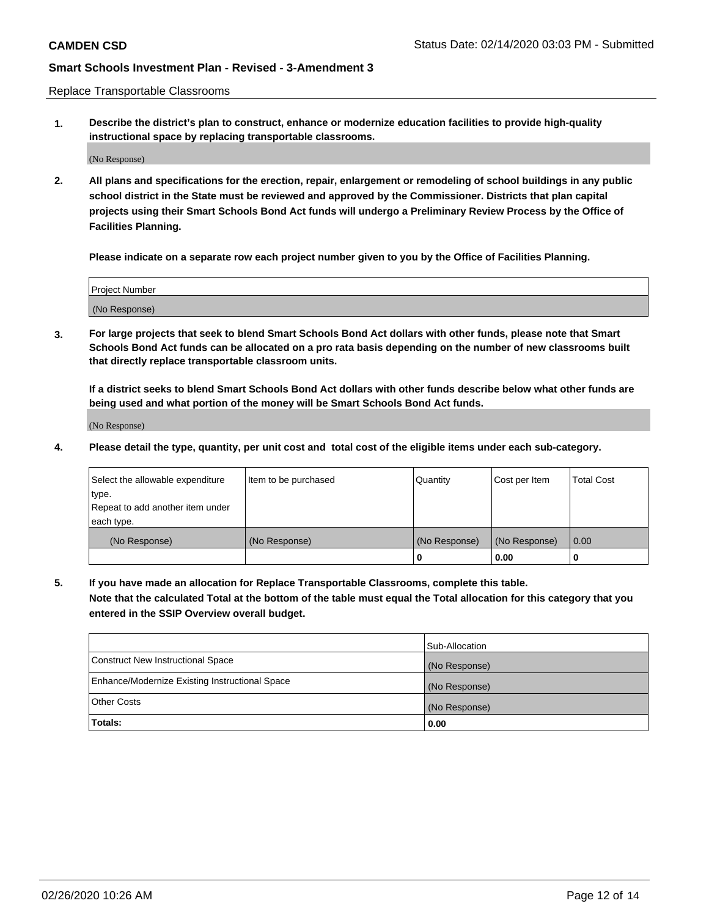Replace Transportable Classrooms

**1. Describe the district's plan to construct, enhance or modernize education facilities to provide high-quality instructional space by replacing transportable classrooms.**

(No Response)

**2. All plans and specifications for the erection, repair, enlargement or remodeling of school buildings in any public school district in the State must be reviewed and approved by the Commissioner. Districts that plan capital projects using their Smart Schools Bond Act funds will undergo a Preliminary Review Process by the Office of Facilities Planning.**

**Please indicate on a separate row each project number given to you by the Office of Facilities Planning.**

| Project Number |  |
|----------------|--|
|                |  |
|                |  |
|                |  |
| (No Response)  |  |
|                |  |
|                |  |

**3. For large projects that seek to blend Smart Schools Bond Act dollars with other funds, please note that Smart Schools Bond Act funds can be allocated on a pro rata basis depending on the number of new classrooms built that directly replace transportable classroom units.**

**If a district seeks to blend Smart Schools Bond Act dollars with other funds describe below what other funds are being used and what portion of the money will be Smart Schools Bond Act funds.**

(No Response)

**4. Please detail the type, quantity, per unit cost and total cost of the eligible items under each sub-category.**

| Select the allowable expenditure | Item to be purchased | Quantity      | Cost per Item | Total Cost |
|----------------------------------|----------------------|---------------|---------------|------------|
| ∣type.                           |                      |               |               |            |
| Repeat to add another item under |                      |               |               |            |
| each type.                       |                      |               |               |            |
| (No Response)                    | (No Response)        | (No Response) | (No Response) | 0.00       |
|                                  |                      | u             | 0.00          |            |

**5. If you have made an allocation for Replace Transportable Classrooms, complete this table. Note that the calculated Total at the bottom of the table must equal the Total allocation for this category that you entered in the SSIP Overview overall budget.**

|                                                | Sub-Allocation |
|------------------------------------------------|----------------|
| Construct New Instructional Space              | (No Response)  |
| Enhance/Modernize Existing Instructional Space | (No Response)  |
| Other Costs                                    | (No Response)  |
| Totals:                                        | 0.00           |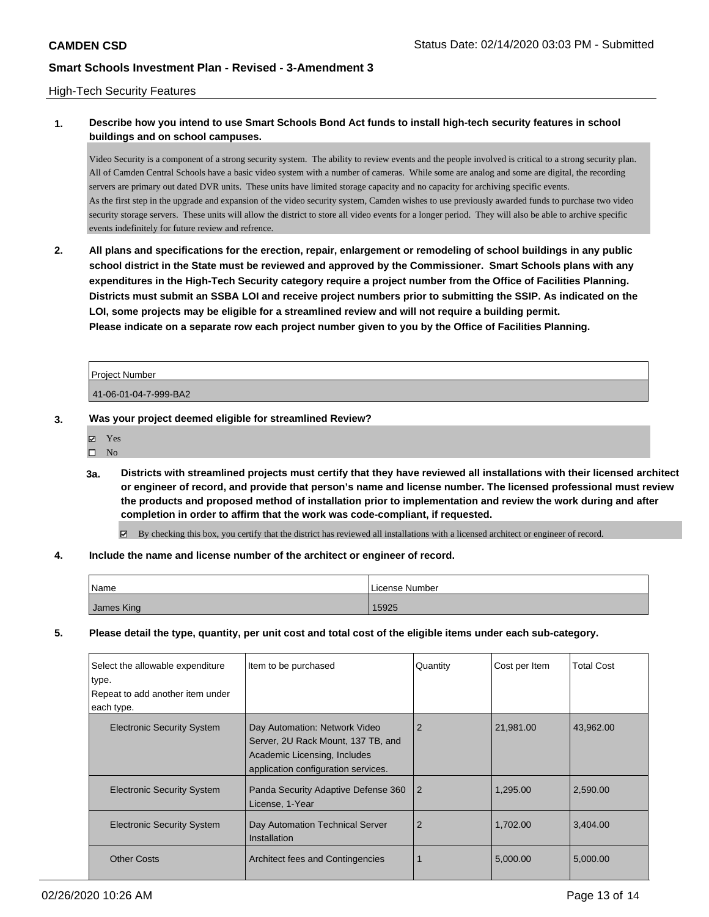## High-Tech Security Features

# **1. Describe how you intend to use Smart Schools Bond Act funds to install high-tech security features in school buildings and on school campuses.**

Video Security is a component of a strong security system. The ability to review events and the people involved is critical to a strong security plan. All of Camden Central Schools have a basic video system with a number of cameras. While some are analog and some are digital, the recording servers are primary out dated DVR units. These units have limited storage capacity and no capacity for archiving specific events. As the first step in the upgrade and expansion of the video security system, Camden wishes to use previously awarded funds to purchase two video security storage servers. These units will allow the district to store all video events for a longer period. They will also be able to archive specific events indefinitely for future review and refrence.

**2. All plans and specifications for the erection, repair, enlargement or remodeling of school buildings in any public school district in the State must be reviewed and approved by the Commissioner. Smart Schools plans with any expenditures in the High-Tech Security category require a project number from the Office of Facilities Planning. Districts must submit an SSBA LOI and receive project numbers prior to submitting the SSIP. As indicated on the LOI, some projects may be eligible for a streamlined review and will not require a building permit. Please indicate on a separate row each project number given to you by the Office of Facilities Planning.**

| <b>Project Number</b> |  |
|-----------------------|--|
| 41-06-01-04-7-999-BA2 |  |

- **3. Was your project deemed eligible for streamlined Review?**
	- Yes
	- $\square$  No
	- **3a. Districts with streamlined projects must certify that they have reviewed all installations with their licensed architect or engineer of record, and provide that person's name and license number. The licensed professional must review the products and proposed method of installation prior to implementation and review the work during and after completion in order to affirm that the work was code-compliant, if requested.**

By checking this box, you certify that the district has reviewed all installations with a licensed architect or engineer of record.

## **4. Include the name and license number of the architect or engineer of record.**

| Name       | License Number |
|------------|----------------|
| James King | 15925          |

**5. Please detail the type, quantity, per unit cost and total cost of the eligible items under each sub-category.**

| Select the allowable expenditure<br>type.<br>Repeat to add another item under<br>each type. | Item to be purchased                                                                                                                       | Quantity | Cost per Item | <b>Total Cost</b> |
|---------------------------------------------------------------------------------------------|--------------------------------------------------------------------------------------------------------------------------------------------|----------|---------------|-------------------|
| <b>Electronic Security System</b>                                                           | Day Automation: Network Video<br>Server, 2U Rack Mount, 137 TB, and<br>Academic Licensing, Includes<br>application configuration services. | 2        | 21,981.00     | 43,962.00         |
| <b>Electronic Security System</b>                                                           | Panda Security Adaptive Defense 360<br>License, 1-Year                                                                                     | 2        | 1,295.00      | 2,590.00          |
| <b>Electronic Security System</b>                                                           | Day Automation Technical Server<br>Installation                                                                                            | 2        | 1.702.00      | 3,404.00          |
| <b>Other Costs</b>                                                                          | Architect fees and Contingencies                                                                                                           |          | 5,000.00      | 5,000.00          |